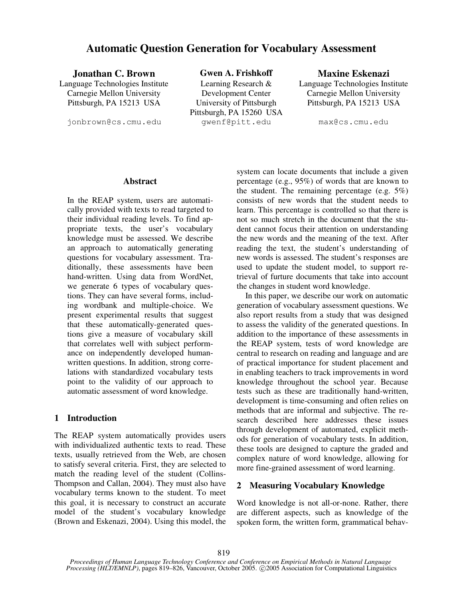# **Automatic Question Generation for Vocabulary Assessment**

**Jonathan C. Brown Gwen A. Frishkoff Maxine Eskenazi**

Language Technologies Institute Carnegie Mellon University Pittsburgh, PA 15213 USA

Learning Research & Development Center University of Pittsburgh Pittsburgh, PA 15260 USA jonbrown@cs.cmu.edu gwenf@pitt.edu max@cs.cmu.edu

Language Technologies Institute Carnegie Mellon University Pittsburgh, PA 15213 USA

#### **Abstract**

In the REAP system, users are automatically provided with texts to read targeted to their individual reading levels. To find appropriate texts, the user's vocabulary knowledge must be assessed. We describe an approach to automatically generating questions for vocabulary assessment. Traditionally, these assessments have been hand-written. Using data from WordNet, we generate 6 types of vocabulary questions. They can have several forms, including wordbank and multiple-choice. We present experimental results that suggest that these automatically-generated questions give a measure of vocabulary skill that correlates well with subject performance on independently developed humanwritten questions. In addition, strong correlations with standardized vocabulary tests point to the validity of our approach to automatic assessment of word knowledge.

# **1 Introduction**

The REAP system automatically provides users with individualized authentic texts to read. These texts, usually retrieved from the Web, are chosen to satisfy several criteria. First, they are selected to match the reading level of the student (Collins-Thompson and Callan, 2004). They must also have vocabulary terms known to the student. To meet this goal, it is necessary to construct an accurate model of the student's vocabulary knowledge (Brown and Eskenazi, 2004). Using this model, the system can locate documents that include a given percentage (e.g., 95%) of words that are known to the student. The remaining percentage (e.g. 5%) consists of new words that the student needs to learn. This percentage is controlled so that there is not so much stretch in the document that the student cannot focus their attention on understanding the new words and the meaning of the text. After reading the text, the student's understanding of new words is assessed. The student's responses are used to update the student model, to support retrieval of furture documents that take into account the changes in student word knowledge.

In this paper, we describe our work on automatic generation of vocabulary assessment questions. We also report results from a study that was designed to assess the validity of the generated questions. In addition to the importance of these assessments in the REAP system, tests of word knowledge are central to research on reading and language and are of practical importance for student placement and in enabling teachers to track improvements in word knowledge throughout the school year. Because tests such as these are traditionally hand-written, development is time-consuming and often relies on methods that are informal and subjective. The research described here addresses these issues through development of automated, explicit methods for generation of vocabulary tests. In addition, these tools are designed to capture the graded and complex nature of word knowledge, allowing for more fine-grained assessment of word learning.

#### **2 Measuring Vocabulary Knowledge**

Word knowledge is not all-or-none. Rather, there are different aspects, such as knowledge of the spoken form, the written form, grammatical behav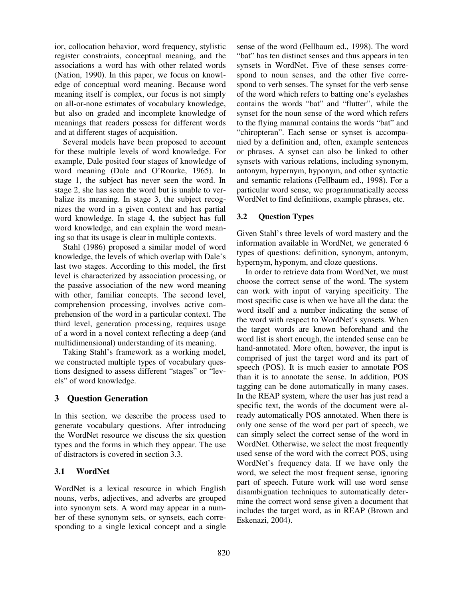ior, collocation behavior, word frequency, stylistic register constraints, conceptual meaning, and the associations a word has with other related words (Nation, 1990). In this paper, we focus on knowledge of conceptual word meaning. Because word meaning itself is complex, our focus is not simply on all-or-none estimates of vocabulary knowledge, but also on graded and incomplete knowledge of meanings that readers possess for different words and at different stages of acquisition.

Several models have been proposed to account for these multiple levels of word knowledge. For example, Dale posited four stages of knowledge of word meaning (Dale and O'Rourke, 1965). In stage 1, the subject has never seen the word. In stage 2, she has seen the word but is unable to verbalize its meaning. In stage 3, the subject recognizes the word in a given context and has partial word knowledge. In stage 4, the subject has full word knowledge, and can explain the word meaning so that its usage is clear in multiple contexts.

Stahl (1986) proposed a similar model of word knowledge, the levels of which overlap with Dale's last two stages. According to this model, the first level is characterized by association processing, or the passive association of the new word meaning with other, familiar concepts. The second level, comprehension processing, involves active comprehension of the word in a particular context. The third level, generation processing, requires usage of a word in a novel context reflecting a deep (and multidimensional) understanding of its meaning.

Taking Stahl's framework as a working model, we constructed multiple types of vocabulary questions designed to assess different "stages" or "levels" of word knowledge.

# **3 Question Generation**

In this section, we describe the process used to generate vocabulary questions. After introducing the WordNet resource we discuss the six question types and the forms in which they appear. The use of distractors is covered in section 3.3.

#### **3.1 WordNet**

WordNet is a lexical resource in which English nouns, verbs, adjectives, and adverbs are grouped into synonym sets. A word may appear in a number of these synonym sets, or synsets, each corresponding to a single lexical concept and a single sense of the word (Fellbaum ed., 1998). The word "bat" has ten distinct senses and thus appears in ten synsets in WordNet. Five of these senses correspond to noun senses, and the other five correspond to verb senses. The synset for the verb sense of the word which refers to batting one's eyelashes contains the words "bat" and "flutter", while the synset for the noun sense of the word which refers to the flying mammal contains the words "bat" and "chiropteran". Each sense or synset is accompanied by a definition and, often, example sentences or phrases. A synset can also be linked to other synsets with various relations, including synonym, antonym, hypernym, hyponym, and other syntactic and semantic relations (Fellbaum ed., 1998). For a particular word sense, we programmatically access WordNet to find definitions, example phrases, etc.

### **3.2 Question Types**

Given Stahl's three levels of word mastery and the information available in WordNet, we generated 6 types of questions: definition, synonym, antonym, hypernym, hyponym, and cloze questions.

In order to retrieve data from WordNet, we must choose the correct sense of the word. The system can work with input of varying specificity. The most specific case is when we have all the data: the word itself and a number indicating the sense of the word with respect to WordNet's synsets. When the target words are known beforehand and the word list is short enough, the intended sense can be hand-annotated. More often, however, the input is comprised of just the target word and its part of speech (POS). It is much easier to annotate POS than it is to annotate the sense. In addition, POS tagging can be done automatically in many cases. In the REAP system, where the user has just read a specific text, the words of the document were already automatically POS annotated. When there is only one sense of the word per part of speech, we can simply select the correct sense of the word in WordNet. Otherwise, we select the most frequently used sense of the word with the correct POS, using WordNet's frequency data. If we have only the word, we select the most frequent sense, ignoring part of speech. Future work will use word sense disambiguation techniques to automatically determine the correct word sense given a document that includes the target word, as in REAP (Brown and Eskenazi, 2004).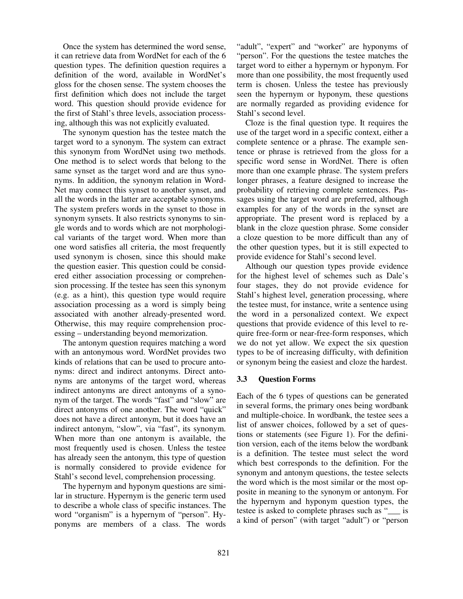Once the system has determined the word sense, it can retrieve data from WordNet for each of the 6 question types. The definition question requires a definition of the word, available in WordNet's gloss for the chosen sense. The system chooses the first definition which does not include the target word. This question should provide evidence for the first of Stahl's three levels, association processing, although this was not explicitly evaluated.

The synonym question has the testee match the target word to a synonym. The system can extract this synonym from WordNet using two methods. One method is to select words that belong to the same synset as the target word and are thus synonyms. In addition, the synonym relation in Word-Net may connect this synset to another synset, and all the words in the latter are acceptable synonyms. The system prefers words in the synset to those in synonym synsets. It also restricts synonyms to single words and to words which are not morphological variants of the target word. When more than one word satisfies all criteria, the most frequently used synonym is chosen, since this should make the question easier. This question could be considered either association processing or comprehension processing. If the testee has seen this synonym (e.g. as a hint), this question type would require association processing as a word is simply being associated with another already-presented word. Otherwise, this may require comprehension processing – understanding beyond memorization.

The antonym question requires matching a word with an antonymous word. WordNet provides two kinds of relations that can be used to procure antonyms: direct and indirect antonyms. Direct antonyms are antonyms of the target word, whereas indirect antonyms are direct antonyms of a synonym of the target. The words "fast" and "slow" are direct antonyms of one another. The word "quick" does not have a direct antonym, but it does have an indirect antonym, "slow", via "fast", its synonym. When more than one antonym is available, the most frequently used is chosen. Unless the testee has already seen the antonym, this type of question is normally considered to provide evidence for Stahl's second level, comprehension processing.

The hypernym and hyponym questions are similar in structure. Hypernym is the generic term used to describe a whole class of specific instances. The word "organism" is a hypernym of "person". Hyponyms are members of a class. The words "adult", "expert" and "worker" are hyponyms of "person". For the questions the testee matches the target word to either a hypernym or hyponym. For more than one possibility, the most frequently used term is chosen. Unless the testee has previously seen the hypernym or hyponym, these questions are normally regarded as providing evidence for Stahl's second level.

Cloze is the final question type. It requires the use of the target word in a specific context, either a complete sentence or a phrase. The example sentence or phrase is retrieved from the gloss for a specific word sense in WordNet. There is often more than one example phrase. The system prefers longer phrases, a feature designed to increase the probability of retrieving complete sentences. Passages using the target word are preferred, although examples for any of the words in the synset are appropriate. The present word is replaced by a blank in the cloze question phrase. Some consider a cloze question to be more difficult than any of the other question types, but it is still expected to provide evidence for Stahl's second level.

Although our question types provide evidence for the highest level of schemes such as Dale's four stages, they do not provide evidence for Stahl's highest level, generation processing, where the testee must, for instance, write a sentence using the word in a personalized context. We expect questions that provide evidence of this level to require free-form or near-free-form responses, which we do not yet allow. We expect the six question types to be of increasing difficulty, with definition or synonym being the easiest and cloze the hardest.

#### **3.3 Question Forms**

Each of the 6 types of questions can be generated in several forms, the primary ones being wordbank and multiple-choice. In wordbank, the testee sees a list of answer choices, followed by a set of questions or statements (see Figure 1). For the definition version, each of the items below the wordbank is a definition. The testee must select the word which best corresponds to the definition. For the synonym and antonym questions, the testee selects the word which is the most similar or the most opposite in meaning to the synonym or antonym. For the hypernym and hyponym question types, the testee is asked to complete phrases such as "\_\_\_ is a kind of person" (with target "adult") or "person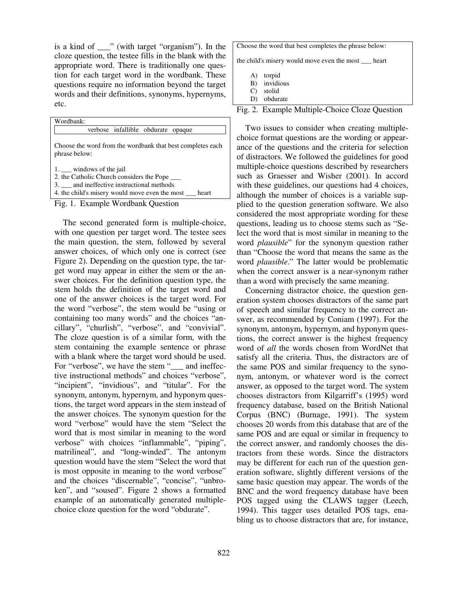is a kind of \_\_\_" (with target "organism"). In the cloze question, the testee fills in the blank with the appropriate word. There is traditionally one question for each target word in the wordbank. These questions require no information beyond the target words and their definitions, synonyms, hypernyms, etc.

| Wordbank:                                                                                                                                                                    |  |  |
|------------------------------------------------------------------------------------------------------------------------------------------------------------------------------|--|--|
| verbose infallible obdurate opaque                                                                                                                                           |  |  |
| Choose the word from the wordbank that best completes each<br>phrase below:                                                                                                  |  |  |
| $1.$ windows of the jail<br>2. the Catholic Church considers the Pope<br>3. and ineffective instructional methods<br>4. the child's misery would move even the most<br>heart |  |  |



The second generated form is multiple-choice, with one question per target word. The testee sees the main question, the stem, followed by several answer choices, of which only one is correct (see Figure 2). Depending on the question type, the target word may appear in either the stem or the answer choices. For the definition question type, the stem holds the definition of the target word and one of the answer choices is the target word. For the word "verbose", the stem would be "using or containing too many words" and the choices "ancillary", "churlish", "verbose", and "convivial". The cloze question is of a similar form, with the stem containing the example sentence or phrase with a blank where the target word should be used. For "verbose", we have the stem "<sub>\_\_\_</sub> and ineffective instructional methods" and choices "verbose", "incipient", "invidious", and "titular". For the synonym, antonym, hypernym, and hyponym questions, the target word appears in the stem instead of the answer choices. The synonym question for the word "verbose" would have the stem "Select the word that is most similar in meaning to the word verbose" with choices "inflammable", "piping", matrilineal", and "long-winded". The antonym question would have the stem "Select the word that is most opposite in meaning to the word verbose" and the choices "discernable", "concise", "unbroken", and "soused". Figure 2 shows a formatted example of an automatically generated multiplechoice cloze question for the word "obdurate".

| Choose the word that best completes the phrase below:                                       |
|---------------------------------------------------------------------------------------------|
| the child's misery would move even the most <u>ear</u> t                                    |
| torpid<br>A)<br>invidious<br>B)<br>stolid<br>C)<br>obdurate<br>D)                           |
| $\cdot$<br>Ë.<br>1.<br>$\sim$<br><b>1</b> <i>I</i> 1 <i>I</i> 1 <i>C</i> 1<br>$\sim$ $\Box$ |



Two issues to consider when creating multiplechoice format questions are the wording or appearance of the questions and the criteria for selection of distractors. We followed the guidelines for good multiple-choice questions described by researchers such as Graesser and Wisher (2001). In accord with these guidelines, our questions had 4 choices, although the number of choices is a variable supplied to the question generation software. We also considered the most appropriate wording for these questions, leading us to choose stems such as "Select the word that is most similar in meaning to the word *plausible*" for the synonym question rather than "Choose the word that means the same as the word *plausible*." The latter would be problematic when the correct answer is a near-synonym rather than a word with precisely the same meaning.

Concerning distractor choice, the question generation system chooses distractors of the same part of speech and similar frequency to the correct answer, as recommended by Coniam (1997). For the synonym, antonym, hypernym, and hyponym questions, the correct answer is the highest frequency word of *all* the words chosen from WordNet that satisfy all the criteria. Thus, the distractors are of the same POS and similar frequency to the synonym, antonym, or whatever word is the correct answer, as opposed to the target word. The system chooses distractors from Kilgarriff's (1995) word frequency database, based on the British National Corpus (BNC) (Burnage, 1991). The system chooses 20 words from this database that are of the same POS and are equal or similar in frequency to the correct answer, and randomly chooses the distractors from these words. Since the distractors may be different for each run of the question generation software, slightly different versions of the same basic question may appear. The words of the BNC and the word frequency database have been POS tagged using the CLAWS tagger (Leech, 1994). This tagger uses detailed POS tags, enabling us to choose distractors that are, for instance,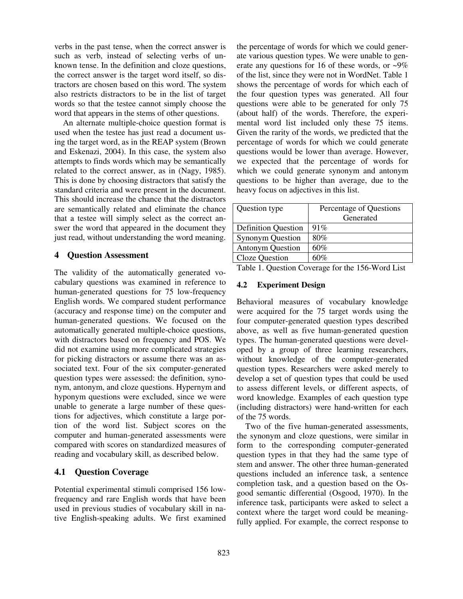verbs in the past tense, when the correct answer is such as verb, instead of selecting verbs of unknown tense. In the definition and cloze questions, the correct answer is the target word itself, so distractors are chosen based on this word. The system also restricts distractors to be in the list of target words so that the testee cannot simply choose the word that appears in the stems of other questions.

An alternate multiple-choice question format is used when the testee has just read a document using the target word, as in the REAP system (Brown and Eskenazi, 2004). In this case, the system also attempts to finds words which may be semantically related to the correct answer, as in (Nagy, 1985). This is done by choosing distractors that satisfy the standard criteria and were present in the document. This should increase the chance that the distractors are semantically related and eliminate the chance that a testee will simply select as the correct answer the word that appeared in the document they just read, without understanding the word meaning.

#### **4 Question Assessment**

The validity of the automatically generated vocabulary questions was examined in reference to human-generated questions for 75 low-frequency English words. We compared student performance (accuracy and response time) on the computer and human-generated questions. We focused on the automatically generated multiple-choice questions, with distractors based on frequency and POS. We did not examine using more complicated strategies for picking distractors or assume there was an associated text. Four of the six computer-generated question types were assessed: the definition, synonym, antonym, and cloze questions. Hypernym and hyponym questions were excluded, since we were unable to generate a large number of these questions for adjectives, which constitute a large portion of the word list. Subject scores on the computer and human-generated assessments were compared with scores on standardized measures of reading and vocabulary skill, as described below.

# **4.1 Question Coverage**

Potential experimental stimuli comprised 156 lowfrequency and rare English words that have been used in previous studies of vocabulary skill in native English-speaking adults. We first examined the percentage of words for which we could generate various question types. We were unable to generate any questions for 16 of these words, or  $\sim 9\%$ of the list, since they were not in WordNet. Table 1 shows the percentage of words for which each of the four question types was generated. All four questions were able to be generated for only 75 (about half) of the words. Therefore, the experimental word list included only these 75 items. Given the rarity of the words, we predicted that the percentage of words for which we could generate questions would be lower than average. However, we expected that the percentage of words for which we could generate synonym and antonym questions to be higher than average, due to the heavy focus on adjectives in this list.

| Question type                                    | Percentage of Questions                                                                                                                                                                                                                                                                                        |
|--------------------------------------------------|----------------------------------------------------------------------------------------------------------------------------------------------------------------------------------------------------------------------------------------------------------------------------------------------------------------|
|                                                  | Generated                                                                                                                                                                                                                                                                                                      |
| <b>Definition Question</b>                       | 91%                                                                                                                                                                                                                                                                                                            |
| <b>Synonym Question</b>                          | 80%                                                                                                                                                                                                                                                                                                            |
| <b>Antonym Question</b>                          | 60%                                                                                                                                                                                                                                                                                                            |
| Cloze Question                                   | 60%                                                                                                                                                                                                                                                                                                            |
| $\mathbf{m}$ 11 1 $\mathbf{\Omega}$ $\mathbf{r}$ | $\mathbf{A}$ and $\mathbf{A}$ and $\mathbf{A}$ and $\mathbf{A}$ and $\mathbf{A}$ and $\mathbf{A}$ and $\mathbf{A}$ and $\mathbf{A}$ and $\mathbf{A}$ and $\mathbf{A}$ and $\mathbf{A}$ and $\mathbf{A}$ and $\mathbf{A}$ and $\mathbf{A}$ and $\mathbf{A}$ and $\mathbf{A}$ and $\mathbf{A}$ and<br>$\epsilon$ |

Table 1. Question Coverage for the 156-Word List

#### **4.2 Experiment Design**

Behavioral measures of vocabulary knowledge were acquired for the 75 target words using the four computer-generated question types described above, as well as five human-generated question types. The human-generated questions were developed by a group of three learning researchers, without knowledge of the computer-generated question types. Researchers were asked merely to develop a set of question types that could be used to assess different levels, or different aspects, of word knowledge. Examples of each question type (including distractors) were hand-written for each of the 75 words.

Two of the five human-generated assessments, the synonym and cloze questions, were similar in form to the corresponding computer-generated question types in that they had the same type of stem and answer. The other three human-generated questions included an inference task, a sentence completion task, and a question based on the Osgood semantic differential (Osgood, 1970). In the inference task, participants were asked to select a context where the target word could be meaningfully applied. For example, the correct response to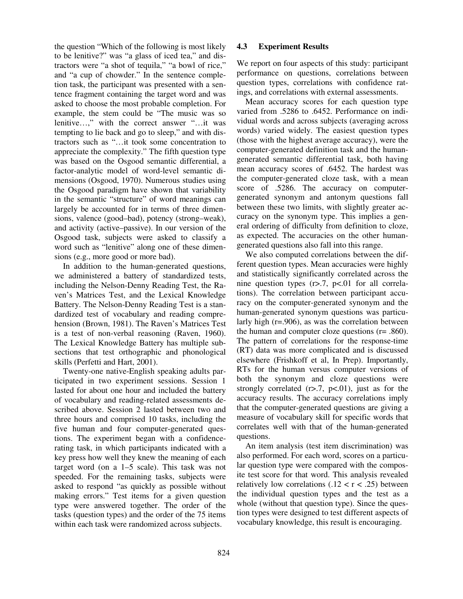the question "Which of the following is most likely to be lenitive?" was "a glass of iced tea," and distractors were "a shot of tequila," "a bowl of rice," and "a cup of chowder." In the sentence completion task, the participant was presented with a sentence fragment containing the target word and was asked to choose the most probable completion. For example, the stem could be "The music was so lenitive…," with the correct answer "…it was tempting to lie back and go to sleep," and with distractors such as "…it took some concentration to appreciate the complexity." The fifth question type was based on the Osgood semantic differential, a factor-analytic model of word-level semantic dimensions (Osgood, 1970). Numerous studies using the Osgood paradigm have shown that variability in the semantic "structure" of word meanings can largely be accounted for in terms of three dimensions, valence (good–bad), potency (strong–weak), and activity (active–passive). In our version of the Osgood task, subjects were asked to classify a word such as "lenitive" along one of these dimensions (e.g., more good or more bad).

In addition to the human-generated questions, we administered a battery of standardized tests, including the Nelson-Denny Reading Test, the Raven's Matrices Test, and the Lexical Knowledge Battery. The Nelson-Denny Reading Test is a standardized test of vocabulary and reading comprehension (Brown, 1981). The Raven's Matrices Test is a test of non-verbal reasoning (Raven, 1960). The Lexical Knowledge Battery has multiple subsections that test orthographic and phonological skills (Perfetti and Hart, 2001).

Twenty-one native-English speaking adults participated in two experiment sessions. Session 1 lasted for about one hour and included the battery of vocabulary and reading-related assessments described above. Session 2 lasted between two and three hours and comprised 10 tasks, including the five human and four computer-generated questions. The experiment began with a confidencerating task, in which participants indicated with a key press how well they knew the meaning of each target word (on a 1–5 scale). This task was not speeded. For the remaining tasks, subjects were asked to respond "as quickly as possible without making errors." Test items for a given question type were answered together. The order of the tasks (question types) and the order of the 75 items within each task were randomized across subjects.

#### **4.3 Experiment Results**

We report on four aspects of this study: participant performance on questions, correlations between question types, correlations with confidence ratings, and correlations with external assessments.

Mean accuracy scores for each question type varied from .5286 to .6452. Performance on individual words and across subjects (averaging across words) varied widely. The easiest question types (those with the highest average accuracy), were the computer-generated definition task and the humangenerated semantic differential task, both having mean accuracy scores of .6452. The hardest was the computer-generated cloze task, with a mean score of .5286. The accuracy on computergenerated synonym and antonym questions fall between these two limits, with slightly greater accuracy on the synonym type. This implies a general ordering of difficulty from definition to cloze, as expected. The accuracies on the other humangenerated questions also fall into this range.

We also computed correlations between the different question types. Mean accuracies were highly and statistically significantly correlated across the nine question types  $(r > 7, p < 01$  for all correlations). The correlation between participant accuracy on the computer-generated synonym and the human-generated synonym questions was particularly high (r=.906), as was the correlation between the human and computer cloze questions (r= .860). The pattern of correlations for the response-time (RT) data was more complicated and is discussed elsewhere (Frishkoff et al, In Prep). Importantly, RTs for the human versus computer versions of both the synonym and cloze questions were strongly correlated  $(r>7, p<0.01)$ , just as for the accuracy results. The accuracy correlations imply that the computer-generated questions are giving a measure of vocabulary skill for specific words that correlates well with that of the human-generated questions.

An item analysis (test item discrimination) was also performed. For each word, scores on a particular question type were compared with the composite test score for that word. This analysis revealed relatively low correlations  $(.12 < r < .25)$  between the individual question types and the test as a whole (without that question type). Since the question types were designed to test different aspects of vocabulary knowledge, this result is encouraging.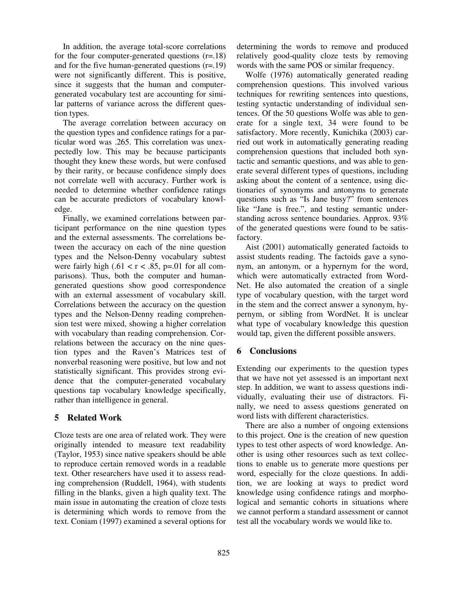In addition, the average total-score correlations for the four computer-generated questions (r=.18) and for the five human-generated questions (r=.19) were not significantly different. This is positive, since it suggests that the human and computergenerated vocabulary test are accounting for similar patterns of variance across the different question types.

The average correlation between accuracy on the question types and confidence ratings for a particular word was .265. This correlation was unexpectedly low. This may be because participants thought they knew these words, but were confused by their rarity, or because confidence simply does not correlate well with accuracy. Further work is needed to determine whether confidence ratings can be accurate predictors of vocabulary knowledge.

Finally, we examined correlations between participant performance on the nine question types and the external assessments. The correlations between the accuracy on each of the nine question types and the Nelson-Denny vocabulary subtest were fairly high (.61 <  $r$  < .85, p=.01 for all comparisons). Thus, both the computer and humangenerated questions show good correspondence with an external assessment of vocabulary skill. Correlations between the accuracy on the question types and the Nelson-Denny reading comprehension test were mixed, showing a higher correlation with vocabulary than reading comprehension. Correlations between the accuracy on the nine question types and the Raven's Matrices test of nonverbal reasoning were positive, but low and not statistically significant. This provides strong evidence that the computer-generated vocabulary questions tap vocabulary knowledge specifically, rather than intelligence in general.

# **5 Related Work**

Cloze tests are one area of related work. They were originally intended to measure text readability (Taylor, 1953) since native speakers should be able to reproduce certain removed words in a readable text. Other researchers have used it to assess reading comprehension (Ruddell, 1964), with students filling in the blanks, given a high quality text. The main issue in automating the creation of cloze tests is determining which words to remove from the text. Coniam (1997) examined a several options for determining the words to remove and produced relatively good-quality cloze tests by removing words with the same POS or similar frequency.

Wolfe (1976) automatically generated reading comprehension questions. This involved various techniques for rewriting sentences into questions, testing syntactic understanding of individual sentences. Of the 50 questions Wolfe was able to generate for a single text, 34 were found to be satisfactory. More recently, Kunichika (2003) carried out work in automatically generating reading comprehension questions that included both syntactic and semantic questions, and was able to generate several different types of questions, including asking about the content of a sentence, using dictionaries of synonyms and antonyms to generate questions such as "Is Jane busy?" from sentences like "Jane is free.", and testing semantic understanding across sentence boundaries. Approx. 93% of the generated questions were found to be satisfactory.

Aist (2001) automatically generated factoids to assist students reading. The factoids gave a synonym, an antonym, or a hypernym for the word, which were automatically extracted from Word-Net. He also automated the creation of a single type of vocabulary question, with the target word in the stem and the correct answer a synonym, hypernym, or sibling from WordNet. It is unclear what type of vocabulary knowledge this question would tap, given the different possible answers.

# **6 Conclusions**

Extending our experiments to the question types that we have not yet assessed is an important next step. In addition, we want to assess questions individually, evaluating their use of distractors. Finally, we need to assess questions generated on word lists with different characteristics.

There are also a number of ongoing extensions to this project. One is the creation of new question types to test other aspects of word knowledge. Another is using other resources such as text collections to enable us to generate more questions per word, especially for the cloze questions. In addition, we are looking at ways to predict word knowledge using confidence ratings and morphological and semantic cohorts in situations where we cannot perform a standard assessment or cannot test all the vocabulary words we would like to.